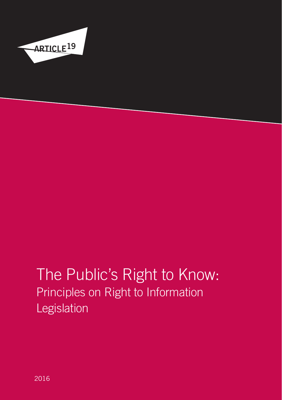

# The Public's Right to Know: Principles on Right to Information Legislation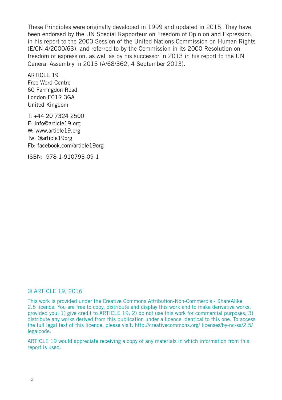<span id="page-1-0"></span>These Principles were originally developed in 1999 and updated in 2015. They have been endorsed by the UN Special Rapporteur on Freedom of Opinion and Expression, in his report to the 2000 Session of the United Nations Commission on Human Rights (E/CN.4/2000/63), and referred to by the Commission in its 2000 Resolution on freedom of expression, as well as by his successor in 2013 in his report to the UN General Assembly in 2013 (A/68/362, 4 September 2013).

**ARTICLE 19** Free Word Centre 60 Farringdon Road London EC1R 3GA United Kingdom

T: +44 20 7324 2500 E: info@article19.org W: www.article19.org Tw: @article19org Fb: facebook.com/article19org

ISBN: 978-1-910793-09-1

#### © ARTICLE 19, 2016

This work is provided under the Creative Commons Attribution-Non-Commercial- ShareAlike 2.5 licence. You are free to copy, distribute and display this work and to make derivative works, provided you: 1) give credit to ARTICLE 19; 2) do not use this work for commercial purposes; 3) distribute any works derived from this publication under a licence identical to this one. To access the full legal text of this licence, please visit: http://creativecommons.org/ licenses/by-nc-sa/2.5/ legalcode.

ARTICLE 19 would appreciate receiving a copy of any materials in which information from this report is used.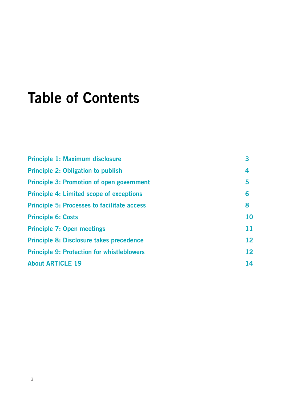# Table of Contents

| Principle 1: Maximum disclosure                    | 3  |
|----------------------------------------------------|----|
| <b>Principle 2: Obligation to publish</b>          | 4  |
| <b>Principle 3: Promotion of open government</b>   | 5  |
| <b>Principle 4: Limited scope of exceptions</b>    | 6  |
| <b>Principle 5: Processes to facilitate access</b> | 8  |
| <b>Principle 6: Costs</b>                          | 10 |
| <b>Principle 7: Open meetings</b>                  | 11 |
| Principle 8: Disclosure takes precedence           | 12 |
| <b>Principle 9: Protection for whistleblowers</b>  | 12 |
| <b>About ARTICLE 19</b>                            | 14 |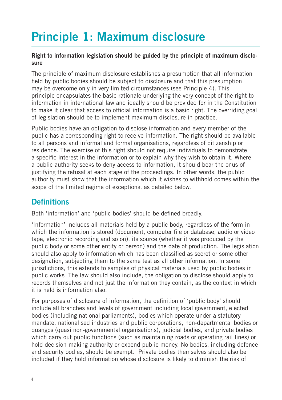## <span id="page-3-0"></span>Principle 1: Maximum disclosure

#### Right to information legislation should be guided by the principle of maximum disclosure

The principle of maximum disclosure establishes a presumption that all information held by public bodies should be subject to disclosure and that this presumption may be overcome only in very limited circumstances (see Principle 4). This principle encapsulates the basic rationale underlying the very concept of the right to information in international law and ideally should be provided for in the Constitution to make it clear that access to official information is a basic right. The overriding goal of legislation should be to implement maximum disclosure in practice.

Public bodies have an obligation to disclose information and every member of the public has a corresponding right to receive information. The right should be available to all persons and informal and formal organisations, regardless of citizenship or residence. The exercise of this right should not require individuals to demonstrate a specific interest in the information or to explain why they wish to obtain it. Where a public authority seeks to deny access to information, it should bear the onus of justifying the refusal at each stage of the proceedings. In other words, the public authority must show that the information which it wishes to withhold comes within the scope of the limited regime of exceptions, as detailed below.

### Definitions

Both 'information' and 'public bodies' should be defined broadly.

'Information' includes all materials held by a public body, regardless of the form in which the information is stored (document, computer file or database, audio or video tape, electronic recording and so on), its source (whether it was produced by the public body or some other entity or person) and the date of production. The legislation should also apply to information which has been classified as secret or some other designation, subjecting them to the same test as all other information. In some jurisdictions, this extends to samples of physical materials used by public bodies in public works The law should also include, the obligation to disclose should apply to records themselves and not just the information they contain, as the context in which it is held is information also.

For purposes of disclosure of information, the definition of 'public body' should include all branches and levels of government including local government, elected bodies (including national parliaments), bodies which operate under a statutory mandate, nationalised industries and public corporations, non-departmental bodies or quangos (quasi non-governmental organisations), judicial bodies, and private bodies which carry out public functions (such as maintaining roads or operating rail lines) or hold decision-making authority or expend public money. No bodies, including defence and security bodies, should be exempt. Private bodies themselves should also be included if they hold information whose disclosure is likely to diminish the risk of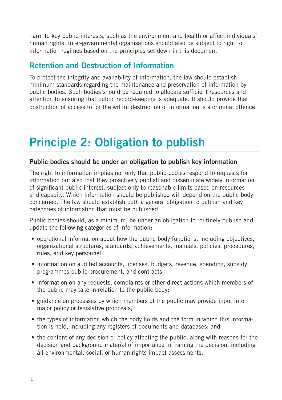harm to key public interests, such as the environment and health or affect individuals' human rights. Inter-governmental organisations should also be subject to right to information regimes based on the principles set down in this document.

### Retention and Destruction of Information

To protect the integrity and availability of information, the law should establish minimum standards regarding the maintenance and preservation of information by public bodies. Such bodies should be required to allocate sufficient resources and attention to ensuring that public record-keeping is adequate. It should provide that obstruction of access to, or the willful destruction of information is a criminal offence.

## Principle 2: Obligation to publish

#### Public bodies should be under an obligation to publish key information

The right to information implies not only that public bodies respond to requests for information but also that they proactively publish and disseminate widely information of significant public interest, subject only to reasonable limits based on resources and capacity. Which information should be published will depend on the public body concerned. The law should establish both a general obligation to publish and key categories of information that must be published.

Public bodies should, as a minimum, be under an obligation to routinely publish and update the following categories of information:

- operational information about how the public body functions, including objectives, organizational structures, standards, achievements, manuals, policies, procedures, rules, and key personnel;
- information on audited accounts, licenses, budgets, revenue, spending, subsidy programmes public procurement, and contracts;
- information on any requests, complaints or other direct actions which members of the public may take in relation to the public body;
- guidance on processes by which members of the public may provide input into major policy or legislative proposals;
- the types of information which the body holds and the form in which this information is held, including any registers of documents and databases; and
- the content of any decision or policy affecting the public, along with reasons for the decision and background material of importance in framing the decision, including all environmental, social, or human rights impact assessments.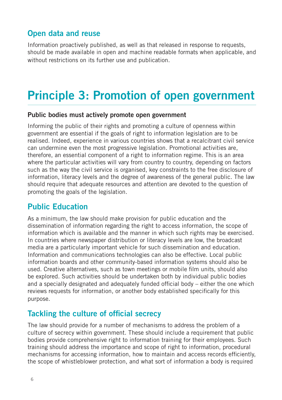## <span id="page-5-0"></span>Open data and reuse

Information proactively published, as well as that released in response to requests, should be made available in open and machine readable formats when applicable, and without restrictions on its further use and publication.

## Principle 3: Promotion of open government

#### Public bodies must actively promote open government

Informing the public of their rights and promoting a culture of openness within government are essential if the goals of right to information legislation are to be realised. Indeed, experience in various countries shows that a recalcitrant civil service can undermine even the most progressive legislation. Promotional activities are, therefore, an essential component of a right to information regime. This is an area where the particular activities will vary from country to country, depending on factors such as the way the civil service is organised, key constraints to the free disclosure of information, literacy levels and the degree of awareness of the general public. The law should require that adequate resources and attention are devoted to the question of promoting the goals of the legislation.

### Public Education

As a minimum, the law should make provision for public education and the dissemination of information regarding the right to access information, the scope of information which is available and the manner in which such rights may be exercised. In countries where newspaper distribution or literacy levels are low, the broadcast media are a particularly important vehicle for such dissemination and education. Information and communications technologies can also be effective. Local public information boards and other community-based information systems should also be used. Creative alternatives, such as town meetings or mobile film units, should also be explored. Such activities should be undertaken both by individual public bodies and a specially designated and adequately funded official body – either the one which reviews requests for information, or another body established specifically for this purpose.

### Tackling the culture of official secrecy

The law should provide for a number of mechanisms to address the problem of a culture of secrecy within government. These should include a requirement that public bodies provide comprehensive right to information training for their employees. Such training should address the importance and scope of right to information, procedural mechanisms for accessing information, how to maintain and access records efficiently, the scope of whistleblower protection, and what sort of information a body is required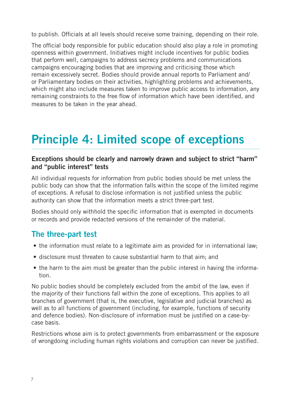<span id="page-6-0"></span>to publish. Officials at all levels should receive some training, depending on their role.

The official body responsible for public education should also play a role in promoting openness within government. Initiatives might include incentives for public bodies that perform well, campaigns to address secrecy problems and communications campaigns encouraging bodies that are improving and criticising those which remain excessively secret. Bodies should provide annual reports to Parliament and/ or Parliamentary bodies on their activities, highlighting problems and achievements, which might also include measures taken to improve public access to information, any remaining constraints to the free flow of information which have been identified, and measures to be taken in the year ahead.

## Principle 4: Limited scope of exceptions

### Exceptions should be clearly and narrowly drawn and subject to strict "harm" and "public interest" tests

All individual requests for information from public bodies should be met unless the public body can show that the information falls within the scope of the limited regime of exceptions. A refusal to disclose information is not justified unless the public authority can show that the information meets a strict three-part test.

Bodies should only withhold the specific information that is exempted in documents or records and provide redacted versions of the remainder of the material.

### The three-part test

- the information must relate to a legitimate aim as provided for in international law;
- disclosure must threaten to cause substantial harm to that aim; and
- the harm to the aim must be greater than the public interest in having the information.

No public bodies should be completely excluded from the ambit of the law, even if the majority of their functions fall within the zone of exceptions. This applies to all branches of government (that is, the executive, legislative and judicial branches) as well as to all functions of government (including, for example, functions of security and defence bodies). Non-disclosure of information must be justified on a case-bycase basis.

Restrictions whose aim is to protect governments from embarrassment or the exposure of wrongdoing including human rights violations and corruption can never be justified.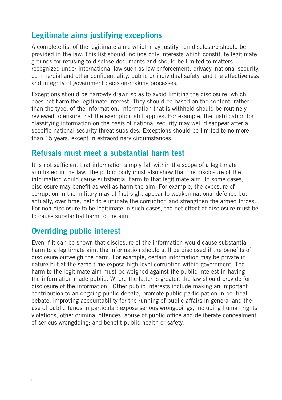### Legitimate aims justifying exceptions

A complete list of the legitimate aims which may justify non-disclosure should be provided in the law. This list should include only interests which constitute legitimate grounds for refusing to disclose documents and should be limited to matters recognized under international law such as law enforcement, privacy, national security, commercial and other confidentiality, public or individual safety, and the effectiveness and integrity of government decision-making processes.

Exceptions should be narrowly drawn so as to avoid limiting the disclosure which does not harm the legitimate interest. They should be based on the content, rather than the type, of the information. Information that is withheld should be routinely reviewed to ensure that the exemption still applies. For example, the justification for classifying information on the basis of national security may well disappear after a specific national security threat subsides. Exceptions should be limited to no more than 15 years, except in extraordinary circumstances.

### Refusals must meet a substantial harm test

It is not sufficient that information simply fall within the scope of a legitimate aim listed in the law. The public body must also show that the disclosure of the information would cause substantial harm to that legitimate aim. In some cases, disclosure may benefit as well as harm the aim. For example, the exposure of corruption in the military may at first sight appear to weaken national defence but actually, over time, help to eliminate the corruption and strengthen the armed forces. For non-disclosure to be legitimate in such cases, the net effect of disclosure must be to cause substantial harm to the aim.

### Overriding public interest

Even if it can be shown that disclosure of the information would cause substantial harm to a legitimate aim, the information should still be disclosed if the benefits of disclosure outweigh the harm. For example, certain information may be private in nature but at the same time expose high-level corruption within government. The harm to the legitimate aim must be weighed against the public interest in having the information made public. Where the latter is greater, the law should provide for disclosure of the information. Other public interests include making an important contribution to an ongoing public debate, promote public participation in political debate, improving accountability for the running of public affairs in general and the use of public funds in particular; expose serious wrongdoings, including human rights violations, other criminal offences, abuse of public office and deliberate concealment of serious wrongdoing; and benefit public health or safety.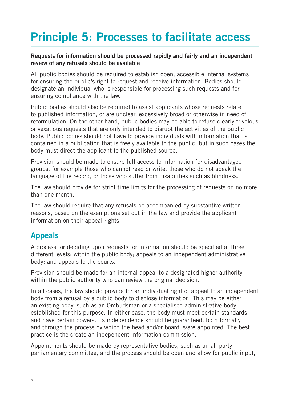## <span id="page-8-0"></span>Principle 5: Processes to facilitate access

#### Requests for information should be processed rapidly and fairly and an independent review of any refusals should be available

All public bodies should be required to establish open, accessible internal systems for ensuring the public's right to request and receive information. Bodies should designate an individual who is responsible for processing such requests and for ensuring compliance with the law.

Public bodies should also be required to assist applicants whose requests relate to published information, or are unclear, excessively broad or otherwise in need of reformulation. On the other hand, public bodies may be able to refuse clearly frivolous or vexatious requests that are only intended to disrupt the activities of the public body. Public bodies should not have to provide individuals with information that is contained in a publication that is freely available to the public, but in such cases the body must direct the applicant to the published source.

Provision should be made to ensure full access to information for disadvantaged groups, for example those who cannot read or write, those who do not speak the language of the record, or those who suffer from disabilities such as blindness.

The law should provide for strict time limits for the processing of requests on no more than one month.

The law should require that any refusals be accompanied by substantive written reasons, based on the exemptions set out in the law and provide the applicant information on their appeal rights.

## Appeals

A process for deciding upon requests for information should be specified at three different levels: within the public body; appeals to an independent administrative body; and appeals to the courts.

Provision should be made for an internal appeal to a designated higher authority within the public authority who can review the original decision.

In all cases, the law should provide for an individual right of appeal to an independent body from a refusal by a public body to disclose information. This may be either an existing body, such as an Ombudsman or a specialised administrative body established for this purpose. In either case, the body must meet certain standards and have certain powers. Its independence should be guaranteed, both formally and through the process by which the head and/or board is/are appointed. The best practice is the create an independent information commission.

Appointments should be made by representative bodies, such as an all-party parliamentary committee, and the process should be open and allow for public input,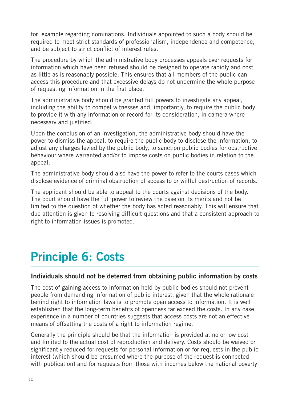<span id="page-9-0"></span>for example regarding nominations. Individuals appointed to such a body should be required to meet strict standards of professionalism, independence and competence, and be subject to strict conflict of interest rules.

The procedure by which the administrative body processes appeals over requests for information which have been refused should be designed to operate rapidly and cost as little as is reasonably possible. This ensures that all members of the public can access this procedure and that excessive delays do not undermine the whole purpose of requesting information in the first place.

The administrative body should be granted full powers to investigate any appeal, including the ability to compel witnesses and, importantly, to require the public body to provide it with any information or record for its consideration, in camera where necessary and justified.

Upon the conclusion of an investigation, the administrative body should have the power to dismiss the appeal, to require the public body to disclose the information, to adjust any charges levied by the public body, to sanction public bodies for obstructive behaviour where warranted and/or to impose costs on public bodies in relation to the appeal.

The administrative body should also have the power to refer to the courts cases which disclose evidence of criminal obstruction of access to or willful destruction of records.

The applicant should be able to appeal to the courts against decisions of the body. The court should have the full power to review the case on its merits and not be limited to the question of whether the body has acted reasonably. This will ensure that due attention is given to resolving difficult questions and that a consistent approach to right to information issues is promoted.

## Principle 6: Costs

#### Individuals should not be deterred from obtaining public information by costs

The cost of gaining access to information held by public bodies should not prevent people from demanding information of public interest, given that the whole rationale behind right to information laws is to promote open access to information. It is well established that the long-term benefits of openness far exceed the costs. In any case, experience in a number of countries suggests that access costs are not an effective means of offsetting the costs of a right to information regime.

Generally the principle should be that the information is provided at no or low cost and limited to the actual cost of reproduction and delivery. Costs should be waived or significantly reduced for requests for personal information or for requests in the public interest (which should be presumed where the purpose of the request is connected with publication) and for requests from those with incomes below the national poverty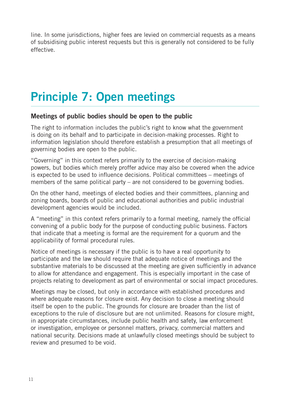<span id="page-10-0"></span>line. In some jurisdictions, higher fees are levied on commercial requests as a means of subsidising public interest requests but this is generally not considered to be fully effective.

## Principle 7: Open meetings

#### Meetings of public bodies should be open to the public

The right to information includes the public's right to know what the government is doing on its behalf and to participate in decision-making processes. Right to information legislation should therefore establish a presumption that all meetings of governing bodies are open to the public.

"Governing" in this context refers primarily to the exercise of decision-making powers, but bodies which merely proffer advice may also be covered when the advice is expected to be used to influence decisions. Political committees – meetings of members of the same political party – are not considered to be governing bodies.

On the other hand, meetings of elected bodies and their committees, planning and zoning boards, boards of public and educational authorities and public industrial development agencies would be included.

A "meeting" in this context refers primarily to a formal meeting, namely the official convening of a public body for the purpose of conducting public business. Factors that indicate that a meeting is formal are the requirement for a quorum and the applicability of formal procedural rules.

Notice of meetings is necessary if the public is to have a real opportunity to participate and the law should require that adequate notice of meetings and the substantive materials to be discussed at the meeting are given sufficiently in advance to allow for attendance and engagement. This is especially important in the case of projects relating to development as part of environmental or social impact procedures.

Meetings may be closed, but only in accordance with established procedures and where adequate reasons for closure exist. Any decision to close a meeting should itself be open to the public. The grounds for closure are broader than the list of exceptions to the rule of disclosure but are not unlimited. Reasons for closure might, in appropriate circumstances, include public health and safety, law enforcement or investigation, employee or personnel matters, privacy, commercial matters and national security. Decisions made at unlawfully closed meetings should be subject to review and presumed to be void.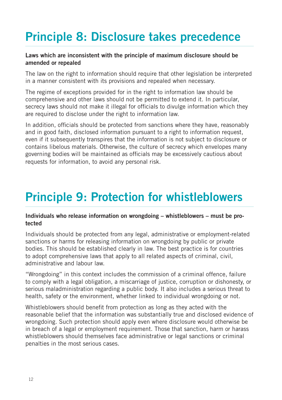## Principle 8: Disclosure takes precedence

#### Laws which are inconsistent with the principle of maximum disclosure should be amended or repealed

The law on the right to information should require that other legislation be interpreted in a manner consistent with its provisions and repealed when necessary.

The regime of exceptions provided for in the right to information law should be comprehensive and other laws should not be permitted to extend it. In particular, secrecy laws should not make it illegal for officials to divulge information which they are required to disclose under the right to information law.

In addition, officials should be protected from sanctions where they have, reasonably and in good faith, disclosed information pursuant to a right to information request, even if it subsequently transpires that the information is not subject to disclosure or contains libelous materials. Otherwise, the culture of secrecy which envelopes many governing bodies will be maintained as officials may be excessively cautious about requests for information, to avoid any personal risk.

## Principle 9: Protection for whistleblowers

#### Individuals who release information on wrongdoing – whistleblowers – must be protected

Individuals should be protected from any legal, administrative or employment-related sanctions or harms for releasing information on wrongdoing by public or private bodies. This should be established clearly in law. The best practice is for countries to adopt comprehensive laws that apply to all related aspects of criminal, civil, administrative and labour law.

"Wrongdoing" in this context includes the commission of a criminal offence, failure to comply with a legal obligation, a miscarriage of justice, corruption or dishonesty, or serious maladministration regarding a public body. It also includes a serious threat to health, safety or the environment, whether linked to individual wrongdoing or not.

Whistleblowers should benefit from protection as long as they acted with the reasonable belief that the information was substantially true and disclosed evidence of wrongdoing. Such protection should apply even where disclosure would otherwise be in breach of a legal or employment requirement. Those that sanction, harm or harass whistleblowers should themselves face administrative or legal sanctions or criminal penalties in the most serious cases.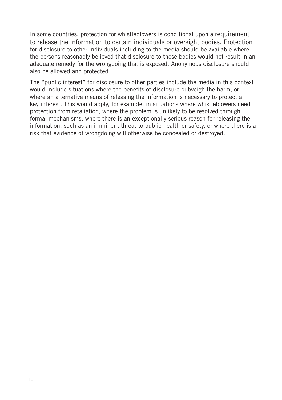In some countries, protection for whistleblowers is conditional upon a requirement to release the information to certain individuals or oversight bodies. Protection for disclosure to other individuals including to the media should be available where the persons reasonably believed that disclosure to those bodies would not result in an adequate remedy for the wrongdoing that is exposed. Anonymous disclosure should also be allowed and protected.

The "public interest" for disclosure to other parties include the media in this context would include situations where the benefits of disclosure outweigh the harm, or where an alternative means of releasing the information is necessary to protect a key interest. This would apply, for example, in situations where whistleblowers need protection from retaliation, where the problem is unlikely to be resolved through formal mechanisms, where there is an exceptionally serious reason for releasing the information, such as an imminent threat to public health or safety, or where there is a risk that evidence of wrongdoing will otherwise be concealed or destroyed.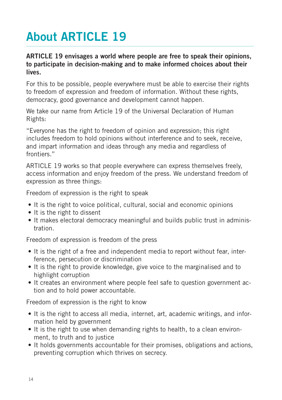## **About ARTICLE 19**

### ARTICLE 19 envisages a world where people are free to speak their opinions, to participate in decision-making and to make informed choices about their lives.

For this to be possible, people everywhere must be able to exercise their rights to freedom of expression and freedom of information. Without these rights, democracy, good governance and development cannot happen.

We take our name from Article 19 of the Universal Declaration of Human Rights:

"Everyone has the right to freedom of opinion and expression; this right includes freedom to hold opinions without interference and to seek, receive, and impart information and ideas through any media and regardless of frontiers."

ARTICLE 19 works so that people everywhere can express themselves freely, access information and enjoy freedom of the press. We understand freedom of expression as three things:

Freedom of expression is the right to speak

- It is the right to voice political, cultural, social and economic opinions
- It is the right to dissent
- It makes electoral democracy meaningful and builds public trust in administration.

Freedom of expression is freedom of the press

- It is the right of a free and independent media to report without fear, interference, persecution or discrimination
- It is the right to provide knowledge, give voice to the marginalised and to highlight corruption
- It creates an environment where people feel safe to question government action and to hold power accountable.

Freedom of expression is the right to know

- It is the right to access all media, internet, art, academic writings, and information held by government
- It is the right to use when demanding rights to health, to a clean environment, to truth and to justice
- It holds governments accountable for their promises, obligations and actions, preventing corruption which thrives on secrecy.